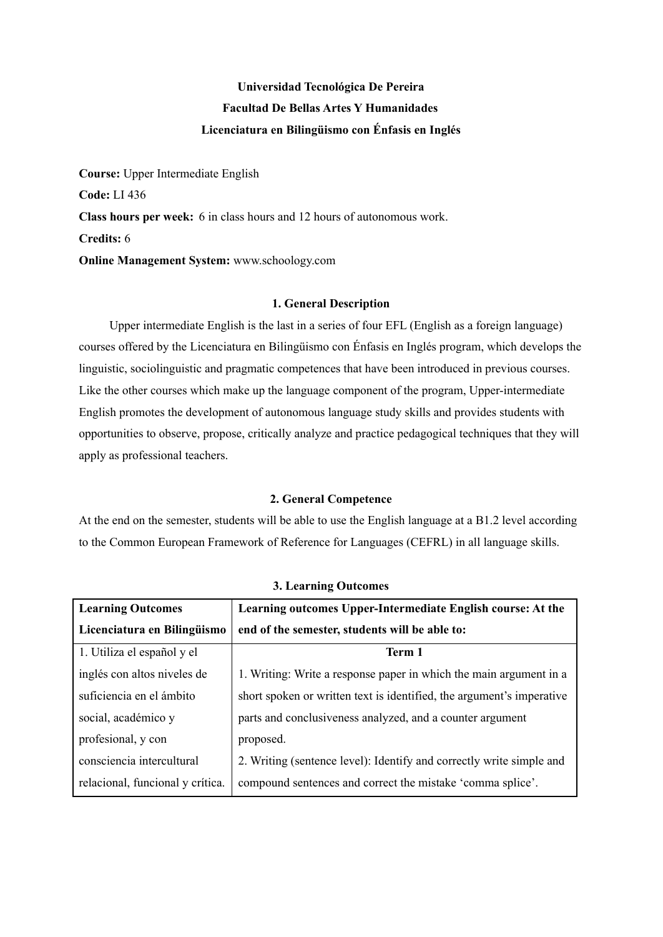# **Universidad Tecnológica De Pereira Facultad De Bellas Artes Y Humanidades Licenciatura en Bilingüismo con Énfasis en Inglés**

**Course:** Upper Intermediate English **Code:** LI 436 **Class hours per week:** 6 in class hours and 12 hours of autonomous work. **Credits:** 6 **Online Management System:** www.schoology.com

## **1. General Description**

Upper intermediate English is the last in a series of four EFL (English as a foreign language) courses offered by the Licenciatura en Bilingüismo con Énfasis en Inglés program, which develops the linguistic, sociolinguistic and pragmatic competences that have been introduced in previous courses. Like the other courses which make up the language component of the program, Upper-intermediate English promotes the development of autonomous language study skills and provides students with opportunities to observe, propose, critically analyze and practice pedagogical techniques that they will apply as professional teachers.

## **2. General Competence**

At the end on the semester, students will be able to use the English language at a B1.2 level according to the Common European Framework of Reference for Languages (CEFRL) in all language skills.

| <b>Learning Outcomes</b>         | Learning outcomes Upper-Intermediate English course: At the           |  |  |  |
|----------------------------------|-----------------------------------------------------------------------|--|--|--|
| Licenciatura en Bilingüismo      | end of the semester, students will be able to:                        |  |  |  |
| 1. Utiliza el español y el       | Term 1                                                                |  |  |  |
| inglés con altos niveles de      | 1. Writing: Write a response paper in which the main argument in a    |  |  |  |
| suficiencia en el ámbito         | short spoken or written text is identified, the argument's imperative |  |  |  |
| social, académico y              | parts and conclusiveness analyzed, and a counter argument             |  |  |  |
| profesional, y con               | proposed.                                                             |  |  |  |
| consciencia intercultural        | 2. Writing (sentence level): Identify and correctly write simple and  |  |  |  |
| relacional, funcional y crítica. | compound sentences and correct the mistake 'comma splice'.            |  |  |  |

**3. Learning Outcomes**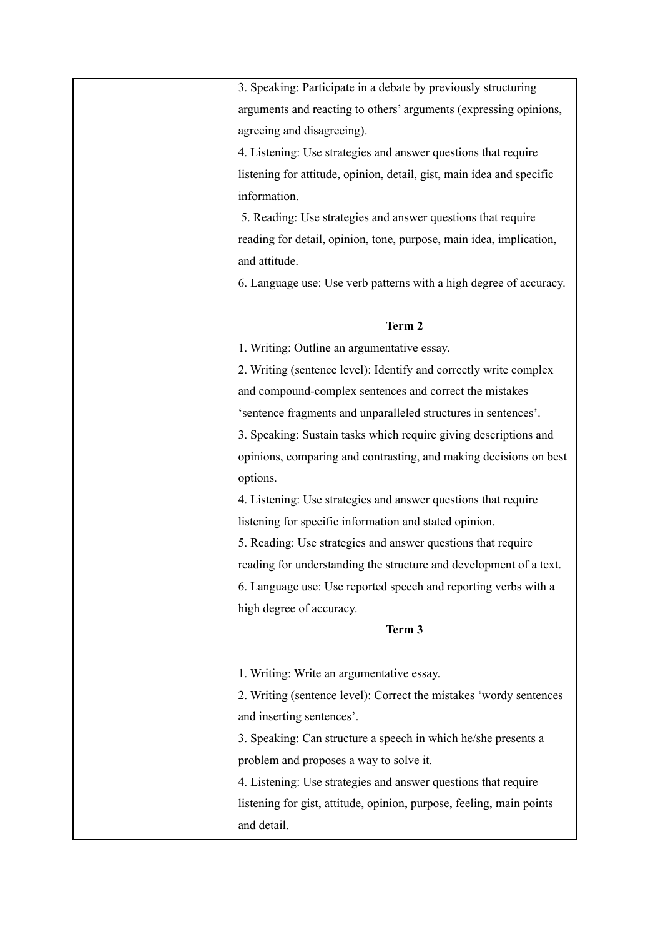| 3. Speaking: Participate in a debate by previously structuring        |  |  |
|-----------------------------------------------------------------------|--|--|
| arguments and reacting to others' arguments (expressing opinions,     |  |  |
|                                                                       |  |  |
| agreeing and disagreeing).                                            |  |  |
| 4. Listening: Use strategies and answer questions that require        |  |  |
| listening for attitude, opinion, detail, gist, main idea and specific |  |  |
| information.                                                          |  |  |
| 5. Reading: Use strategies and answer questions that require          |  |  |
| reading for detail, opinion, tone, purpose, main idea, implication,   |  |  |
| and attitude.                                                         |  |  |
| 6. Language use: Use verb patterns with a high degree of accuracy.    |  |  |
|                                                                       |  |  |
| Term 2                                                                |  |  |
| 1. Writing: Outline an argumentative essay.                           |  |  |
| 2. Writing (sentence level): Identify and correctly write complex     |  |  |
| and compound-complex sentences and correct the mistakes               |  |  |
| 'sentence fragments and unparalleled structures in sentences'.        |  |  |
| 3. Speaking: Sustain tasks which require giving descriptions and      |  |  |
| opinions, comparing and contrasting, and making decisions on best     |  |  |
| options.                                                              |  |  |
| 4. Listening: Use strategies and answer questions that require        |  |  |
| listening for specific information and stated opinion.                |  |  |
| 5. Reading: Use strategies and answer questions that require          |  |  |
| reading for understanding the structure and development of a text.    |  |  |
|                                                                       |  |  |
| 6. Language use: Use reported speech and reporting verbs with a       |  |  |
| high degree of accuracy.                                              |  |  |
| Term 3                                                                |  |  |
|                                                                       |  |  |
| 1. Writing: Write an argumentative essay.                             |  |  |
| 2. Writing (sentence level): Correct the mistakes 'wordy sentences    |  |  |
| and inserting sentences'.                                             |  |  |
| 3. Speaking: Can structure a speech in which he/she presents a        |  |  |
| problem and proposes a way to solve it.                               |  |  |
| 4. Listening: Use strategies and answer questions that require        |  |  |
| listening for gist, attitude, opinion, purpose, feeling, main points  |  |  |
| and detail.                                                           |  |  |
|                                                                       |  |  |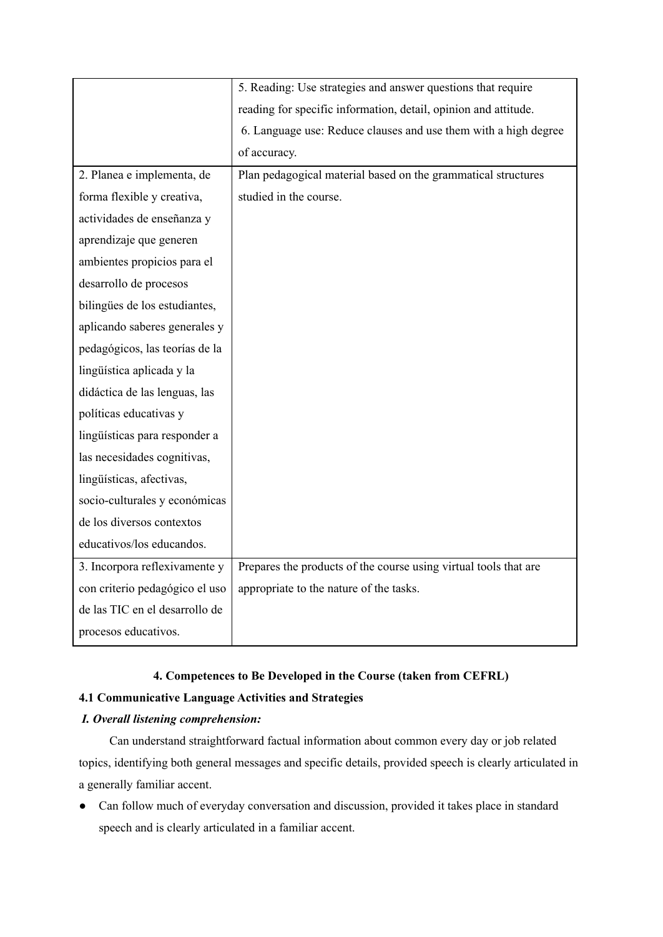|                                | 5. Reading: Use strategies and answer questions that require     |  |  |
|--------------------------------|------------------------------------------------------------------|--|--|
|                                | reading for specific information, detail, opinion and attitude.  |  |  |
|                                | 6. Language use: Reduce clauses and use them with a high degree  |  |  |
|                                | of accuracy.                                                     |  |  |
| 2. Planea e implementa, de     | Plan pedagogical material based on the grammatical structures    |  |  |
| forma flexible y creativa,     | studied in the course.                                           |  |  |
| actividades de enseñanza y     |                                                                  |  |  |
| aprendizaje que generen        |                                                                  |  |  |
| ambientes propicios para el    |                                                                  |  |  |
| desarrollo de procesos         |                                                                  |  |  |
| bilingües de los estudiantes,  |                                                                  |  |  |
| aplicando saberes generales y  |                                                                  |  |  |
| pedagógicos, las teorías de la |                                                                  |  |  |
| lingüística aplicada y la      |                                                                  |  |  |
| didáctica de las lenguas, las  |                                                                  |  |  |
| políticas educativas y         |                                                                  |  |  |
| lingüísticas para responder a  |                                                                  |  |  |
| las necesidades cognitivas,    |                                                                  |  |  |
| lingüísticas, afectivas,       |                                                                  |  |  |
| socio-culturales y económicas  |                                                                  |  |  |
| de los diversos contextos      |                                                                  |  |  |
| educativos/los educandos.      |                                                                  |  |  |
| 3. Incorpora reflexivamente y  | Prepares the products of the course using virtual tools that are |  |  |
| con criterio pedagógico el uso | appropriate to the nature of the tasks.                          |  |  |
| de las TIC en el desarrollo de |                                                                  |  |  |
| procesos educativos.           |                                                                  |  |  |

# **4. Competences to Be Developed in the Course (taken from CEFRL)**

## **4.1 Communicative Language Activities and Strategies**

# *I. Overall listening comprehension:*

Can understand straightforward factual information about common every day or job related topics, identifying both general messages and specific details, provided speech is clearly articulated in a generally familiar accent.

● Can follow much of everyday conversation and discussion, provided it takes place in standard speech and is clearly articulated in a familiar accent.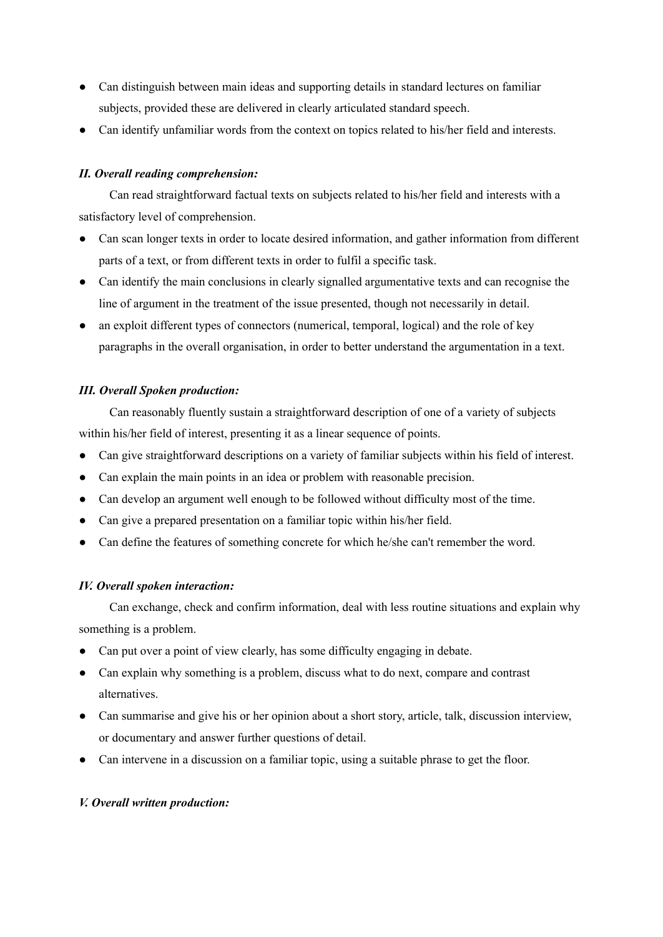- Can distinguish between main ideas and supporting details in standard lectures on familiar subjects, provided these are delivered in clearly articulated standard speech.
- Can identify unfamiliar words from the context on topics related to his/her field and interests.

# *II. Overall reading comprehension:*

Can read straightforward factual texts on subjects related to his/her field and interests with a satisfactory level of comprehension.

- Can scan longer texts in order to locate desired information, and gather information from different parts of a text, or from different texts in order to fulfil a specific task.
- Can identify the main conclusions in clearly signalled argumentative texts and can recognise the line of argument in the treatment of the issue presented, though not necessarily in detail.
- an exploit different types of connectors (numerical, temporal, logical) and the role of key paragraphs in the overall organisation, in order to better understand the argumentation in a text.

# *III. Overall Spoken production:*

Can reasonably fluently sustain a straightforward description of one of a variety of subjects within his/her field of interest, presenting it as a linear sequence of points.

- Can give straightforward descriptions on a variety of familiar subjects within his field of interest.
- Can explain the main points in an idea or problem with reasonable precision.
- Can develop an argument well enough to be followed without difficulty most of the time.
- Can give a prepared presentation on a familiar topic within his/her field.
- Can define the features of something concrete for which he/she can't remember the word.

## *IV. Overall spoken interaction:*

Can exchange, check and confirm information, deal with less routine situations and explain why something is a problem.

- Can put over a point of view clearly, has some difficulty engaging in debate.
- Can explain why something is a problem, discuss what to do next, compare and contrast alternatives.
- Can summarise and give his or her opinion about a short story, article, talk, discussion interview, or documentary and answer further questions of detail.
- Can intervene in a discussion on a familiar topic, using a suitable phrase to get the floor.

## *V. Overall written production:*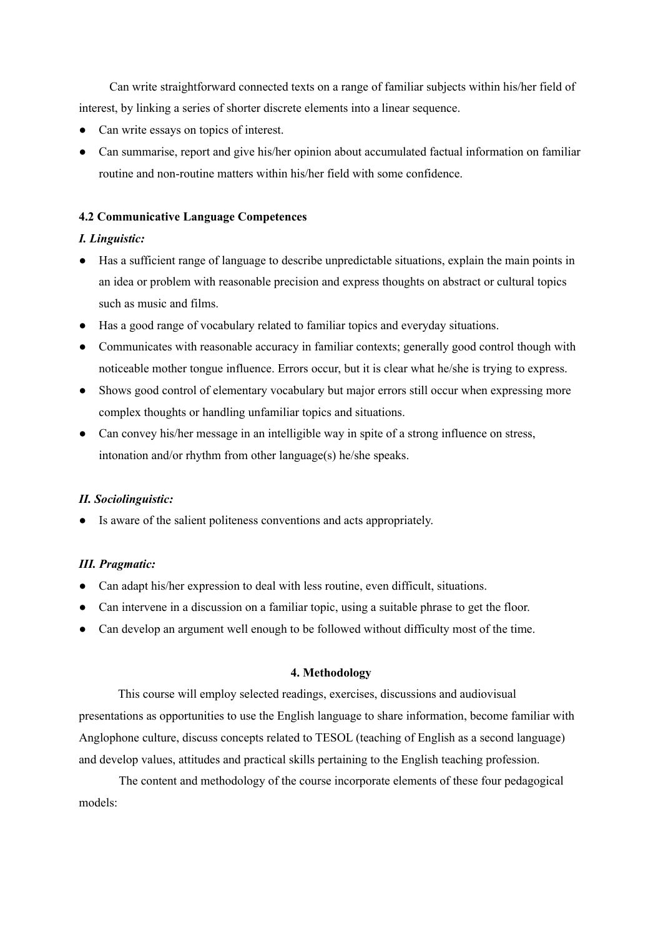Can write straightforward connected texts on a range of familiar subjects within his/her field of interest, by linking a series of shorter discrete elements into a linear sequence.

- Can write essays on topics of interest.
- Can summarise, report and give his/her opinion about accumulated factual information on familiar routine and non-routine matters within his/her field with some confidence.

## **4.2 Communicative Language Competences**

## *I. Linguistic:*

- Has a sufficient range of language to describe unpredictable situations, explain the main points in an idea or problem with reasonable precision and express thoughts on abstract or cultural topics such as music and films.
- Has a good range of vocabulary related to familiar topics and everyday situations.
- Communicates with reasonable accuracy in familiar contexts; generally good control though with noticeable mother tongue influence. Errors occur, but it is clear what he/she is trying to express.
- Shows good control of elementary vocabulary but major errors still occur when expressing more complex thoughts or handling unfamiliar topics and situations.
- Can convey his/her message in an intelligible way in spite of a strong influence on stress, intonation and/or rhythm from other language(s) he/she speaks.

## *II. Sociolinguistic:*

● Is aware of the salient politeness conventions and acts appropriately.

## *III. Pragmatic:*

- Can adapt his/her expression to deal with less routine, even difficult, situations.
- Can intervene in a discussion on a familiar topic, using a suitable phrase to get the floor.
- Can develop an argument well enough to be followed without difficulty most of the time.

## **4. Methodology**

This course will employ selected readings, exercises, discussions and audiovisual presentations as opportunities to use the English language to share information, become familiar with Anglophone culture, discuss concepts related to TESOL (teaching of English as a second language) and develop values, attitudes and practical skills pertaining to the English teaching profession.

The content and methodology of the course incorporate elements of these four pedagogical models: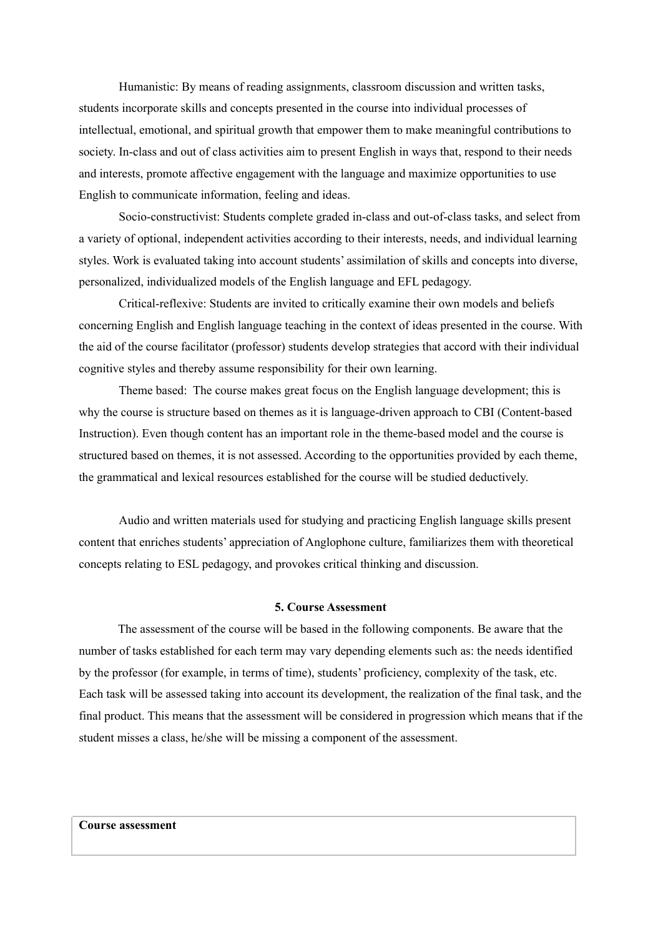Humanistic: By means of reading assignments, classroom discussion and written tasks, students incorporate skills and concepts presented in the course into individual processes of intellectual, emotional, and spiritual growth that empower them to make meaningful contributions to society. In-class and out of class activities aim to present English in ways that, respond to their needs and interests, promote affective engagement with the language and maximize opportunities to use English to communicate information, feeling and ideas.

Socio-constructivist: Students complete graded in-class and out-of-class tasks, and select from a variety of optional, independent activities according to their interests, needs, and individual learning styles. Work is evaluated taking into account students' assimilation of skills and concepts into diverse, personalized, individualized models of the English language and EFL pedagogy.

Critical-reflexive: Students are invited to critically examine their own models and beliefs concerning English and English language teaching in the context of ideas presented in the course. With the aid of the course facilitator (professor) students develop strategies that accord with their individual cognitive styles and thereby assume responsibility for their own learning.

Theme based: The course makes great focus on the English language development; this is why the course is structure based on themes as it is language-driven approach to CBI (Content-based Instruction). Even though content has an important role in the theme-based model and the course is structured based on themes, it is not assessed. According to the opportunities provided by each theme, the grammatical and lexical resources established for the course will be studied deductively.

Audio and written materials used for studying and practicing English language skills present content that enriches students' appreciation of Anglophone culture, familiarizes them with theoretical concepts relating to ESL pedagogy, and provokes critical thinking and discussion.

## **5. Course Assessment**

The assessment of the course will be based in the following components. Be aware that the number of tasks established for each term may vary depending elements such as: the needs identified by the professor (for example, in terms of time), students' proficiency, complexity of the task, etc. Each task will be assessed taking into account its development, the realization of the final task, and the final product. This means that the assessment will be considered in progression which means that if the student misses a class, he/she will be missing a component of the assessment.

## **Course assessment**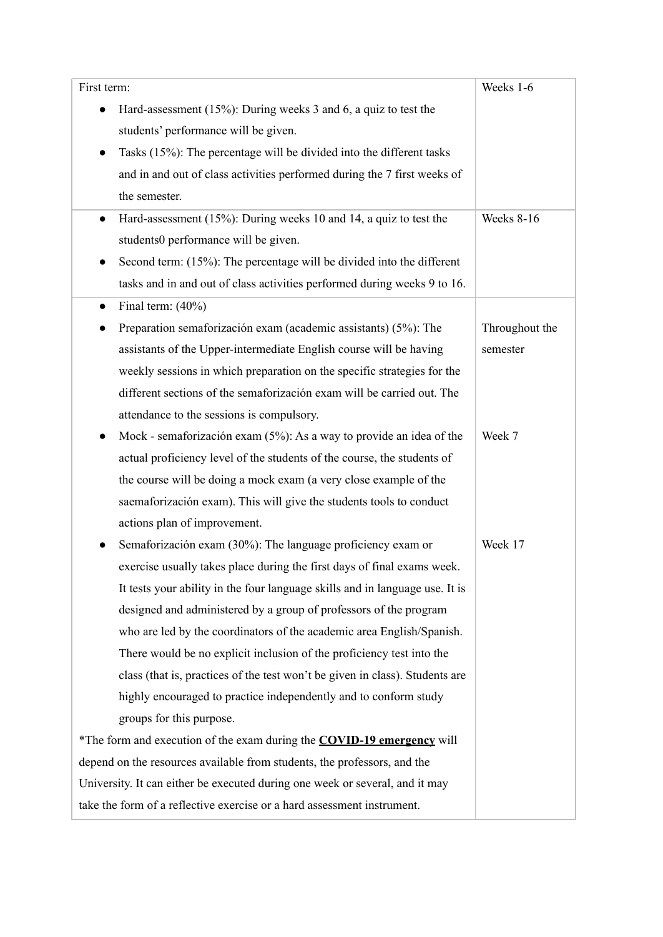| First term:                                                                    | Weeks 1-6      |
|--------------------------------------------------------------------------------|----------------|
| Hard-assessment (15%): During weeks 3 and 6, a quiz to test the<br>$\bullet$   |                |
| students' performance will be given.                                           |                |
| Tasks (15%): The percentage will be divided into the different tasks           |                |
| and in and out of class activities performed during the 7 first weeks of       |                |
| the semester.                                                                  |                |
| Hard-assessment (15%): During weeks 10 and 14, a quiz to test the<br>$\bullet$ | Weeks 8-16     |
| students0 performance will be given.                                           |                |
| Second term: (15%): The percentage will be divided into the different          |                |
| tasks and in and out of class activities performed during weeks 9 to 16.       |                |
| Final term: $(40\%)$<br>$\bullet$                                              |                |
| Preparation semaforización exam (academic assistants) (5%): The                | Throughout the |
| assistants of the Upper-intermediate English course will be having             | semester       |
| weekly sessions in which preparation on the specific strategies for the        |                |
| different sections of the semaforización exam will be carried out. The         |                |
| attendance to the sessions is compulsory.                                      |                |
| Mock - semaforización exam $(5\%)$ : As a way to provide an idea of the        | Week 7         |
| actual proficiency level of the students of the course, the students of        |                |
| the course will be doing a mock exam (a very close example of the              |                |
| saemaforización exam). This will give the students tools to conduct            |                |
| actions plan of improvement.                                                   |                |
| Semaforización exam (30%): The language proficiency exam or                    | Week 17        |
| exercise usually takes place during the first days of final exams week.        |                |
| It tests your ability in the four language skills and in language use. It is   |                |
| designed and administered by a group of professors of the program              |                |
| who are led by the coordinators of the academic area English/Spanish.          |                |
| There would be no explicit inclusion of the proficiency test into the          |                |
| class (that is, practices of the test won't be given in class). Students are   |                |
| highly encouraged to practice independently and to conform study               |                |
| groups for this purpose.                                                       |                |
| *The form and execution of the exam during the <b>COVID-19 emergency</b> will  |                |
| depend on the resources available from students, the professors, and the       |                |
| University. It can either be executed during one week or several, and it may   |                |
| take the form of a reflective exercise or a hard assessment instrument.        |                |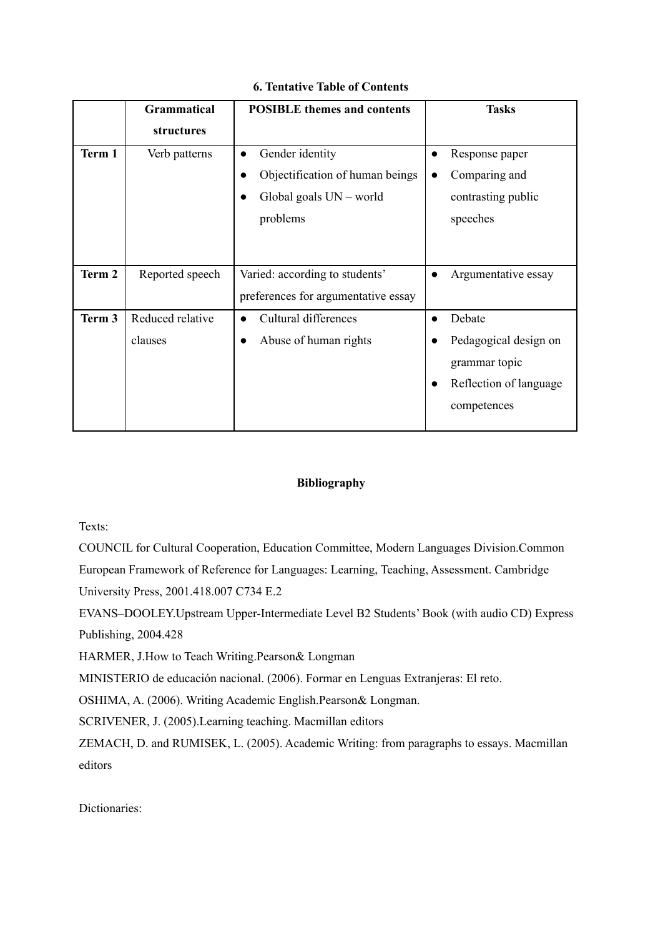|        | <b>Grammatical</b> | <b>POSIBLE</b> themes and contents  | <b>Tasks</b>               |
|--------|--------------------|-------------------------------------|----------------------------|
|        | <b>structures</b>  |                                     |                            |
| Term 1 | Verb patterns      | Gender identity<br>$\bullet$        | Response paper             |
|        |                    | Objectification of human beings     | Comparing and<br>$\bullet$ |
|        |                    | Global goals $UN - world$           | contrasting public         |
|        |                    | problems                            | speeches                   |
|        |                    |                                     |                            |
| Term 2 | Reported speech    | Varied: according to students'      | Argumentative essay        |
|        |                    | preferences for argumentative essay |                            |
| Term 3 | Reduced relative   | Cultural differences                | Debate                     |
|        | clauses            | Abuse of human rights               | Pedagogical design on      |
|        |                    |                                     | grammar topic              |
|        |                    |                                     | Reflection of language     |
|        |                    |                                     | competences                |
|        |                    |                                     |                            |

# **6. Tentative Table of Contents**

# **Bibliography**

Texts:

COUNCIL for Cultural Cooperation, Education Committee, Modern Languages Division.Common European Framework of Reference for Languages: Learning, Teaching, Assessment. Cambridge University Press, 2001.418.007 C734 E.2

EVANS–DOOLEY.Upstream Upper-Intermediate Level B2 Students' Book (with audio CD) Express Publishing, 2004.428

HARMER, J.How to Teach Writing.Pearson& Longman

MINISTERIO de educación nacional. (2006). Formar en Lenguas Extranjeras: El reto.

OSHIMA, A. (2006). Writing Academic English.Pearson& Longman.

SCRIVENER, J. (2005).Learning teaching. Macmillan editors

ZEMACH, D. and RUMISEK, L. (2005). Academic Writing: from paragraphs to essays. Macmillan editors

Dictionaries: